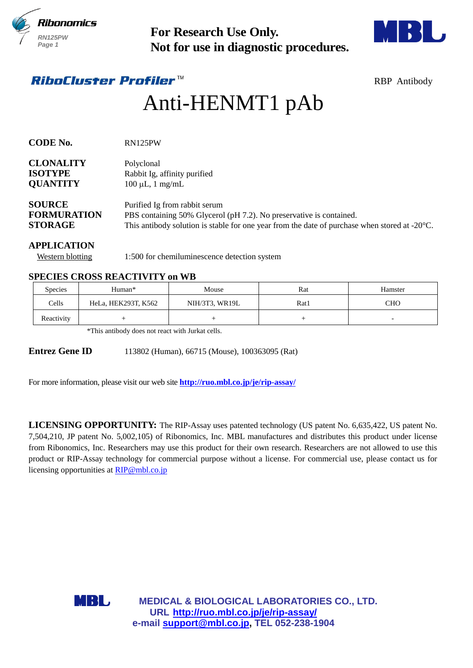



# Anti-HENMT1 pAb

| 11101 101 1 11C3<br><b>RN125PW</b><br>Page 1                        |                                                         |                                                                                                                                                                                                                                                                                                                                                                                                                                                                               | <b>For Research Use Only.</b><br>Not for use in diagnostic procedures. |                     |  |  |
|---------------------------------------------------------------------|---------------------------------------------------------|-------------------------------------------------------------------------------------------------------------------------------------------------------------------------------------------------------------------------------------------------------------------------------------------------------------------------------------------------------------------------------------------------------------------------------------------------------------------------------|------------------------------------------------------------------------|---------------------|--|--|
|                                                                     | <i>RiboCluster Profiler™</i>                            |                                                                                                                                                                                                                                                                                                                                                                                                                                                                               |                                                                        | <b>RBP</b> Antibody |  |  |
|                                                                     |                                                         | Anti-HENMT1 pAb                                                                                                                                                                                                                                                                                                                                                                                                                                                               |                                                                        |                     |  |  |
| <b>CODE No.</b>                                                     | RN125PW                                                 |                                                                                                                                                                                                                                                                                                                                                                                                                                                                               |                                                                        |                     |  |  |
| <b>CLONALITY</b><br>Polyclonal<br><b>ISOTYPE</b><br><b>QUANTITY</b> |                                                         | Rabbit Ig, affinity purified<br>$100 \mu L$ , 1 mg/mL                                                                                                                                                                                                                                                                                                                                                                                                                         |                                                                        |                     |  |  |
| <b>SOURCE</b><br><b>FORMURATION</b><br><b>STORAGE</b>               |                                                         | Purified Ig from rabbit serum<br>PBS containing 50% Glycerol (pH 7.2). No preservative is contained.<br>This antibody solution is stable for one year from the date of purchase when stored at $-20^{\circ}$ C.                                                                                                                                                                                                                                                               |                                                                        |                     |  |  |
| <b>APPLICATION</b><br><b>Western blotting</b>                       |                                                         | 1:500 for chemiluminescence detection system                                                                                                                                                                                                                                                                                                                                                                                                                                  |                                                                        |                     |  |  |
|                                                                     | <b>SPECIES CROSS REACTIVITY on WB</b>                   |                                                                                                                                                                                                                                                                                                                                                                                                                                                                               |                                                                        |                     |  |  |
| Species                                                             | Human*                                                  | Mouse                                                                                                                                                                                                                                                                                                                                                                                                                                                                         | Rat                                                                    | Hamster             |  |  |
| Cells                                                               | HeLa, HEK293T, K562                                     | NIH/3T3, WR19L                                                                                                                                                                                                                                                                                                                                                                                                                                                                | Rat1                                                                   | <b>CHO</b>          |  |  |
| Reactivity                                                          | $+$<br>*This antibody does not react with Jurkat cells. |                                                                                                                                                                                                                                                                                                                                                                                                                                                                               | $\! + \!\!\!\!$                                                        |                     |  |  |
| <b>Entrez Gene ID</b>                                               |                                                         | 113802 (Human), 66715 (Mouse), 100363095 (Rat)<br>For more information, please visit our web site <b>http://ruo.mbl.co.jp/je/rip-assay/</b>                                                                                                                                                                                                                                                                                                                                   |                                                                        |                     |  |  |
|                                                                     | licensing opportunities at RIP@mbl.co.jp                | LICENSING OPPORTUNITY: The RIP-Assay uses patented technology (US patent No. 6,635,422, US patent No.<br>7,504,210, JP patent No. 5,002,105) of Ribonomics, Inc. MBL manufactures and distributes this product under license<br>from Ribonomics, Inc. Researchers may use this product for their own research. Researchers are not allowed to use this<br>product or RIP-Assay technology for commercial purpose without a license. For commercial use, please contact us for |                                                                        |                     |  |  |
|                                                                     | MBL                                                     | MEDICAL & BIOLOGICAL LABORATORIES CO., LTD.<br>URL http://ruo.mbl.co.jp/je/rip-assay/                                                                                                                                                                                                                                                                                                                                                                                         |                                                                        |                     |  |  |

## **APPLICATION**

#### **SPECIES CROSS REACTIVITY on WB**

| <b>Species</b> | Human*              | Mouse          | Rat  | Hamster                  |
|----------------|---------------------|----------------|------|--------------------------|
| Cells          | HeLa, HEK293T, K562 | NIH/3T3, WR19L | Rat1 | <b>CHO</b>               |
| Reactivity     |                     |                |      | $\overline{\phantom{0}}$ |

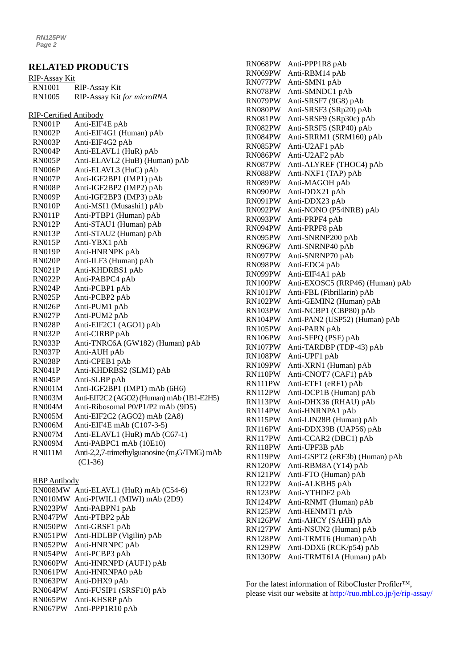## **RELATED PRODUCTS**

| <u>RIP-Assay Kit</u>   |                                                                 |
|------------------------|-----------------------------------------------------------------|
| <b>RN1001</b>          | <b>RIP-Assay Kit</b>                                            |
| <b>RN1005</b>          | RIP-Assay Kit for microRNA                                      |
|                        |                                                                 |
| RIP-Certified Antibody |                                                                 |
| RN001P                 | Anti-EIF4E pAb                                                  |
| RN002P                 | Anti-EIF4G1 (Human) pAb                                         |
| RN003P                 | Anti-EIF4G2 pAb                                                 |
| RN004P                 | Anti-ELAVL1 (HuR) pAb                                           |
| <b>RN005P</b>          | Anti-ELAVL2 (HuB) (Human) pAb                                   |
| RN006P                 | Anti-ELAVL3 (HuC) pAb                                           |
| RN007P                 | Anti-IGF2BP1 (IMP1) pAb                                         |
| RN008P                 | Anti-IGF2BP2 (IMP2) pAb                                         |
| RN009P                 | Anti-IGF2BP3 (IMP3) pAb                                         |
| RN010P                 | Anti-MSI1 (Musashi1) pAb                                        |
| RN011P                 | Anti-PTBP1 (Human) pAb                                          |
| RN012P                 | Anti-STAU1 (Human) pAb                                          |
| RN013P                 | Anti-STAU2 (Human) pAb                                          |
| RN015P                 | Anti-YBX1 pAb                                                   |
| RN019P                 | Anti-HNRNPK pAb                                                 |
| <b>RN020P</b>          | Anti-ILF3 (Human) pAb                                           |
| <b>RN021P</b>          | Anti-KHDRBS1 pAb                                                |
| <b>RN022P</b>          | Anti-PABPC4 pAb                                                 |
| RN024P                 | Anti-PCBP1 pAb                                                  |
| RN025P                 | Anti-PCBP2 pAb                                                  |
| RN026P                 | Anti-PUM1 pAb                                                   |
| RN027P                 | Anti-PUM2 pAb                                                   |
| <b>RN028P</b>          | Anti-EIF2C1 (AGO1) pAb                                          |
| RN032P                 | Anti-CIRBP pAb                                                  |
| RN033P                 | Anti-TNRC6A (GW182) (Human) pAb                                 |
| RN037P                 | Anti-AUH pAb                                                    |
| RN038P                 | Anti-CPEB1 pAb                                                  |
| <b>RN041P</b>          | Anti-KHDRBS2 (SLM1) pAb                                         |
| RN045P                 | Anti-SLBP pAb                                                   |
| <b>RN001M</b>          | Anti-IGF2BP1 (IMP1) mAb (6H6)                                   |
| <b>RN003M</b>          | Anti-EIF2C2 (AGO2) (Human) mAb (1B1-E2H5)                       |
| <b>RN004M</b>          | Anti-Ribosomal P0/P1/P2 mAb (9D5)                               |
| <b>RN005M</b>          | Anti-EIF2C2 (AGO2) mAb (2A8)                                    |
| <b>RN006M</b>          | Anti-EIF4E mAb $(C107-3-5)$                                     |
| RN007M                 | Anti-ELAVL1 (HuR) mAb (C67-1)                                   |
| <b>RN009M</b>          | Anti-PABPC1 mAb (10E10)                                         |
| <b>RN011M</b>          | Anti-2,2,7-trimethylguanosine (m <sub>3</sub> G/TMG) mAb        |
|                        | $(C1-36)$                                                       |
|                        |                                                                 |
| <b>RBP</b> Antibody    |                                                                 |
| RN008MW                | Anti-ELAVL1 (HuR) mAb (C54-6)                                   |
| RN010MW                | Anti-PIWIL1 (MIWI) mAb (2D9)                                    |
| RN023PW                | Anti-PABPN1 pAb                                                 |
| RN047PW                | Anti-PTBP2 pAb                                                  |
| RN050PW                | Anti-GRSF1 pAb                                                  |
| RN051PW                | Anti-HDLBP (Vigilin) pAb                                        |
| RN052PW                | Anti-HNRNPC pAb                                                 |
| RN054PW                | Anti-PCBP3 pAb                                                  |
|                        | RN060PW Anti-HNRNPD (AUF1) pAb<br>$P N061 P W$ Anti HNPNPA0 nAh |
|                        |                                                                 |

RN061PW Anti-HNRNPA0 pAb RN063PW Anti-DHX9 pAb RN064PW Anti-FUSIP1 (SRSF10) pAb

RN065PW Anti-KHSRP pAb

RN067PW Anti-PPP1R10 pAb

| RN068PW | Anti-PPP1R8 pAb                 |
|---------|---------------------------------|
| RN069PW | Anti-RBM14 pAb                  |
| RN077PW | Anti-SMN1 pAb                   |
| RN078PW | Anti-SMNDC1 pAb                 |
| RN079PW | Anti-SRSF7 (9G8) pAb            |
| RN080PW | Anti-SRSF3 (SRp20) pAb          |
| RN081PW | Anti-SRSF9 (SRp30c) pAb         |
| RN082PW | Anti-SRSF5 (SRP40) pAb          |
| RN084PW | Anti-SRRM1 (SRM160) pAb         |
| RN085PW | Anti-U2AF1 pAb                  |
| RN086PW | Anti-U2AF2 pAb                  |
| RN087PW | Anti-ALYREF (THOC4) pAb         |
| RN088PW | Anti-NXF1 (TAP) pAb             |
| RN089PW | Anti-MAGOH pAb                  |
| RN090PW | Anti-DDX21 pAb                  |
| RN091PW | Anti-DDX23 pAb                  |
| RN092PW | Anti-NONO (P54NRB) pAb          |
| RN093PW | Anti-PRPF4 pAb                  |
| RN094PW | Anti-PRPF8 pAb                  |
| RN095PW | Anti-SNRNP200 pAb               |
| RN096PW | Anti-SNRNP40 pAb                |
| RN097PW | Anti-SNRNP70 pAb                |
| RN098PW | Anti-EDC4 pAb                   |
| RN099PW | Anti-EIF4A1 pAb                 |
| RN100PW | Anti-EXOSC5 (RRP46) (Human) pAb |
| RN101PW | Anti-FBL (Fibrillarin) pAb      |
| RN102PW | Anti-GEMIN2 (Human) pAb         |
| RN103PW | Anti-NCBP1 (CBP80) pAb          |
| RN104PW | Anti-PAN2 (USP52) (Human) pAb   |
| RN105PW | Anti-PARN pAb                   |
| RN106PW | Anti-SFPQ (PSF) pAb             |
| RN107PW | Anti-TARDBP (TDP-43) pAb        |
| RN108PW | Anti-UPF1 pAb                   |
| RN109PW | Anti-XRN1 (Human) pAb           |
| RN110PW | Anti-CNOT7 (CAF1) pAb           |
| RN111PW | Anti-ETF1 (eRF1) pAb            |
| RN112PW | Anti-DCP1B (Human) pAb          |
| RN113PW | Anti-DHX36 (RHAU) pAb           |
| RN114PW | Anti-HNRNPA1 pAb                |
| RN115PW | Anti-LIN28B (Human) pAb         |
| RN116PW | Anti-DDX39B (UAP56) pAb         |
| RN117PW | Anti-CCAR2 (DBC1) pAb           |
| RN118PW | Anti-UPF3B pAb                  |
| RN119PW | Anti-GSPT2 (eRF3b) (Human) pAb  |
| RN120PW | Anti-RBM8A (Y14) pAb            |
| RN121PW | Anti-FTO (Human) pAb            |
| RN122PW | Anti-ALKBH5 pAb                 |
| RN123PW | Anti-YTHDF2 pAb                 |
| RN124PW | Anti-RNMT (Human) pAb           |
| RN125PW | Anti-HENMT1 pAb                 |
| RN126PW | Anti-AHCY (SAHH) pAb            |
| RN127PW | Anti-NSUN2 (Human) pAb          |
| RN128PW | Anti-TRMT6 (Human) pAb          |
| RN129PW | Anti-DDX6 (RCK/p54) pAb         |
| RN130PW | Anti-TRMT61A (Human) pAb        |

For the latest information of RiboCluster Profiler™, please visit our website at<http://ruo.mbl.co.jp/je/rip-assay/>